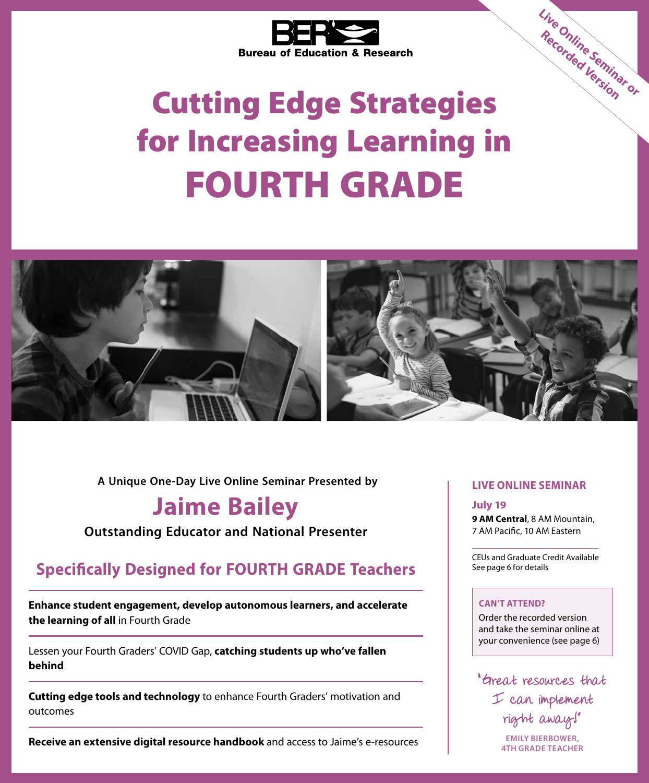

# Cutting Edge Strategies for Increasing Learning in FOURTH GRADE



**A Unique One-Day Live Online Seminar Presented by**

## **Jaime Bailey**

**Outstanding Educator and National Presenter**

## **Specifically Designed for FOURTH GRADE Teachers**

**Enhance student engagement, develop autonomous learners, and accelerate the learning of all** in Fourth Grade

Lessen your Fourth Graders' COVID Gap, **catching students up who've fallen behind**

**Cutting edge tools and technology** to enhance Fourth Graders' motivation and outcomes

**Receive an extensive digital resource handbook** and access to Jaime's e-resources

### **LIVE ONLINE SEMINAR**

**Live Online Seminar or Recorded Version**

**July 19**

**9 AM Central**, 8 AM Mountain, 7 AM Pacific, 10 AM Eastern

CEUs and Graduate Credit Available See page 6 for details

### **CAN'T ATTEND?**

Order the recorded version and take the seminar online at your convenience (see page 6)

" Great resources that I can implement right away!"

**EMILY BIERBOWER, 4TH GRADE TEACHER**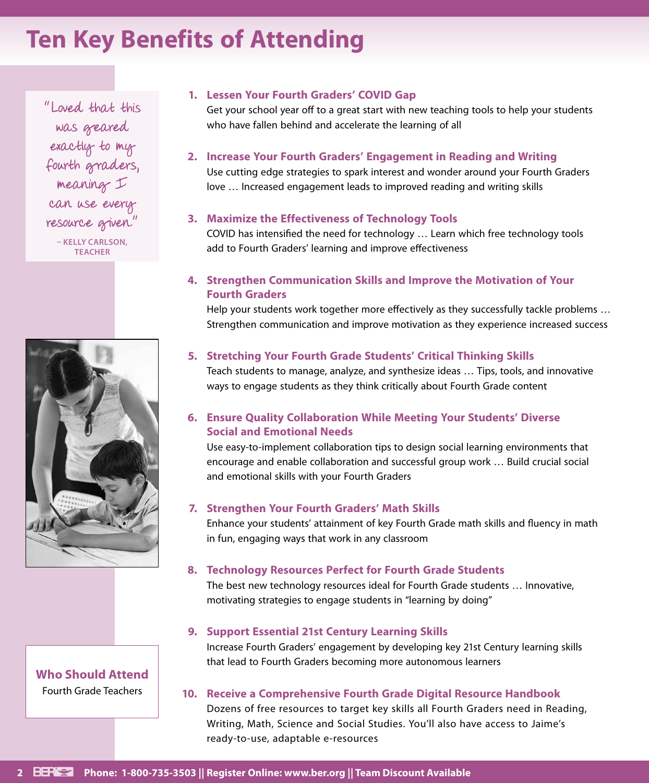## **Ten Key Benefits of Attending**

"Loved that this was geared exactly to my fourth graders, meaning I can use every resource given." **– KELLY CARLSON, TEACHER**



**Who Should Attend** Fourth Grade Teachers

### **1. Lessen Your Fourth Graders' COVID Gap**

Get your school year off to a great start with new teaching tools to help your students who have fallen behind and accelerate the learning of all

#### **2. Increase Your Fourth Graders' Engagement in Reading and Writing**

Use cutting edge strategies to spark interest and wonder around your Fourth Graders love … Increased engagement leads to improved reading and writing skills

#### **3. Maximize the Effectiveness of Technology Tools**

COVID has intensified the need for technology … Learn which free technology tools add to Fourth Graders' learning and improve effectiveness

### **4. Strengthen Communication Skills and Improve the Motivation of Your Fourth Graders**

Help your students work together more effectively as they successfully tackle problems … Strengthen communication and improve motivation as they experience increased success

#### **5. Stretching Your Fourth Grade Students' Critical Thinking Skills**

Teach students to manage, analyze, and synthesize ideas … Tips, tools, and innovative ways to engage students as they think critically about Fourth Grade content

### **6. Ensure Quality Collaboration While Meeting Your Students' Diverse Social and Emotional Needs**

Use easy-to-implement collaboration tips to design social learning environments that encourage and enable collaboration and successful group work … Build crucial social and emotional skills with your Fourth Graders

#### **7. Strengthen Your Fourth Graders' Math Skills**

Enhance your students' attainment of key Fourth Grade math skills and fluency in math in fun, engaging ways that work in any classroom

#### **8. Technology Resources Perfect for Fourth Grade Students**

The best new technology resources ideal for Fourth Grade students … Innovative, motivating strategies to engage students in "learning by doing"

#### **9. Support Essential 21st Century Learning Skills**

Increase Fourth Graders' engagement by developing key 21st Century learning skills that lead to Fourth Graders becoming more autonomous learners

#### **10. Receive a Comprehensive Fourth Grade Digital Resource Handbook**

Dozens of free resources to target key skills all Fourth Graders need in Reading, Writing, Math, Science and Social Studies. You'll also have access to Jaime's ready-to-use, adaptable e-resources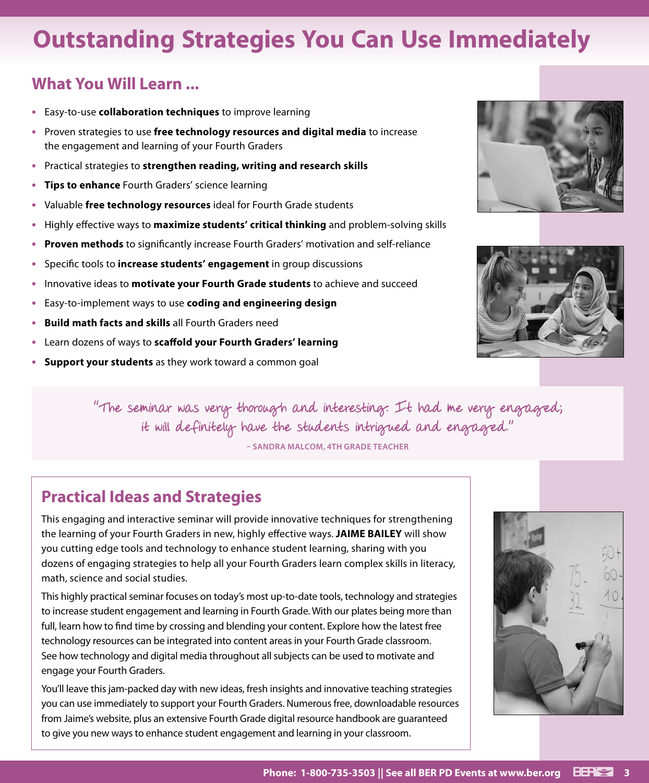## **Outstanding Strategies You Can Use Immediately**

## **What You Will Learn ...**

- **•** Easy-to-use **collaboration techniques** to improve learning
- **•** Proven strategies to use **free technology resources and digital media** to increase the engagement and learning of your Fourth Graders
- **•** Practical strategies to **strengthen reading, writing and research skills**
- **• Tips to enhance** Fourth Graders' science learning
- **•** Valuable **free technology resources** ideal for Fourth Grade students
- **•** Highly effective ways to **maximize students' critical thinking** and problem-solving skills
- **• Proven methods** to significantly increase Fourth Graders' motivation and self-reliance
- **•** Specific tools to **increase students' engagement** in group discussions
- **•** Innovative ideas to **motivate your Fourth Grade students** to achieve and succeed
- **•** Easy-to-implement ways to use **coding and engineering design**
- **• Build math facts and skills** all Fourth Graders need
- **•** Learn dozens of ways to **scaffold your Fourth Graders' learning**
- **• Support your students** as they work toward a common goal





"The seminar was very thorough and interesting. It had me very engaged; it will definitely have the students intrigued and engaged."

**– SANDRA MALCOM, 4TH GRADE TEACHER**

## **Practical Ideas and Strategies**

This engaging and interactive seminar will provide innovative techniques for strengthening the learning of your Fourth Graders in new, highly effective ways. **JAIME BAILEY** will show you cutting edge tools and technology to enhance student learning, sharing with you dozens of engaging strategies to help all your Fourth Graders learn complex skills in literacy, math, science and social studies.

This highly practical seminar focuses on today's most up-to-date tools, technology and strategies to increase student engagement and learning in Fourth Grade. With our plates being more than full, learn how to find time by crossing and blending your content. Explore how the latest free technology resources can be integrated into content areas in your Fourth Grade classroom. See how technology and digital media throughout all subjects can be used to motivate and engage your Fourth Graders.

You'll leave this jam-packed day with new ideas, fresh insights and innovative teaching strategies you can use immediately to support your Fourth Graders. Numerous free, downloadable resources from Jaime's website, plus an extensive Fourth Grade digital resource handbook are guaranteed to give you new ways to enhance student engagement and learning in your classroom.

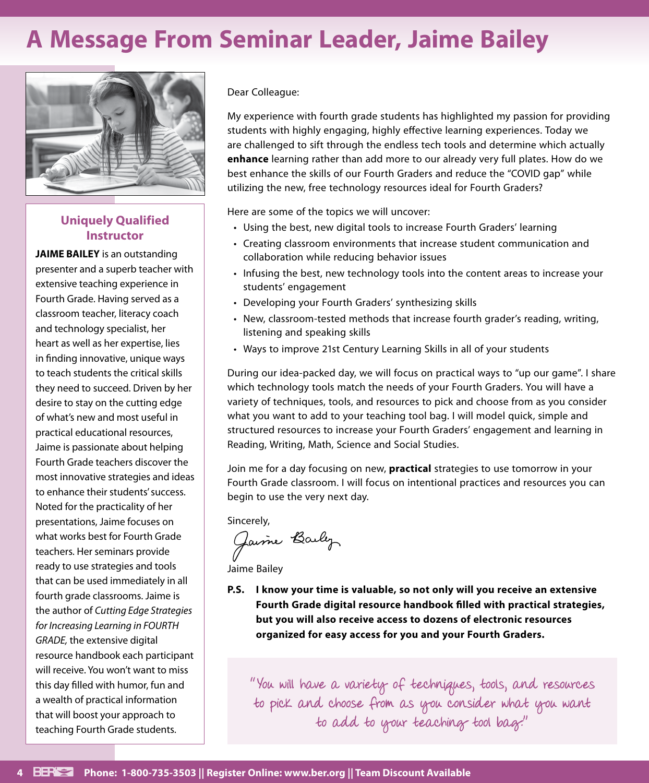## **A Message From Seminar Leader, Jaime Bailey**



## **Uniquely Qualified Instructor**

**JAIME BAILEY** is an outstanding presenter and a superb teacher with extensive teaching experience in Fourth Grade. Having served as a classroom teacher, literacy coach and technology specialist, her heart as well as her expertise, lies in finding innovative, unique ways to teach students the critical skills they need to succeed. Driven by her desire to stay on the cutting edge of what's new and most useful in practical educational resources, Jaime is passionate about helping Fourth Grade teachers discover the most innovative strategies and ideas to enhance their students' success. Noted for the practicality of her presentations, Jaime focuses on what works best for Fourth Grade teachers. Her seminars provide ready to use strategies and tools that can be used immediately in all fourth grade classrooms. Jaime is the author of *Cutting Edge Strategies for Increasing Learning in FOURTH GRADE,* the extensive digital resource handbook each participant will receive. You won't want to miss this day filled with humor, fun and a wealth of practical information that will boost your approach to teaching Fourth Grade students.

#### Dear Colleague:

My experience with fourth grade students has highlighted my passion for providing students with highly engaging, highly effective learning experiences. Today we are challenged to sift through the endless tech tools and determine which actually **enhance** learning rather than add more to our already very full plates. How do we best enhance the skills of our Fourth Graders and reduce the "COVID gap" while utilizing the new, free technology resources ideal for Fourth Graders?

Here are some of the topics we will uncover:

- Using the best, new digital tools to increase Fourth Graders' learning
- Creating classroom environments that increase student communication and collaboration while reducing behavior issues
- Infusing the best, new technology tools into the content areas to increase your students' engagement
- Developing your Fourth Graders' synthesizing skills
- New, classroom-tested methods that increase fourth grader's reading, writing, listening and speaking skills
- Ways to improve 21st Century Learning Skills in all of your students

During our idea-packed day, we will focus on practical ways to "up our game". I share which technology tools match the needs of your Fourth Graders. You will have a variety of techniques, tools, and resources to pick and choose from as you consider what you want to add to your teaching tool bag. I will model quick, simple and structured resources to increase your Fourth Graders' engagement and learning in Reading, Writing, Math, Science and Social Studies.

Join me for a day focusing on new, **practical** strategies to use tomorrow in your Fourth Grade classroom. I will focus on intentional practices and resources you can begin to use the very next day.

Sincerely,

Jaime Baily

Jaime Bailey

**P.S. I know your time is valuable, so not only will you receive an extensive Fourth Grade digital resource handbook filled with practical strategies, but you will also receive access to dozens of electronic resources organized for easy access for you and your Fourth Graders.**

"You will have a variety of techniques, tools, and resources to pick and choose from as you consider what you want to add to your teaching tool bag."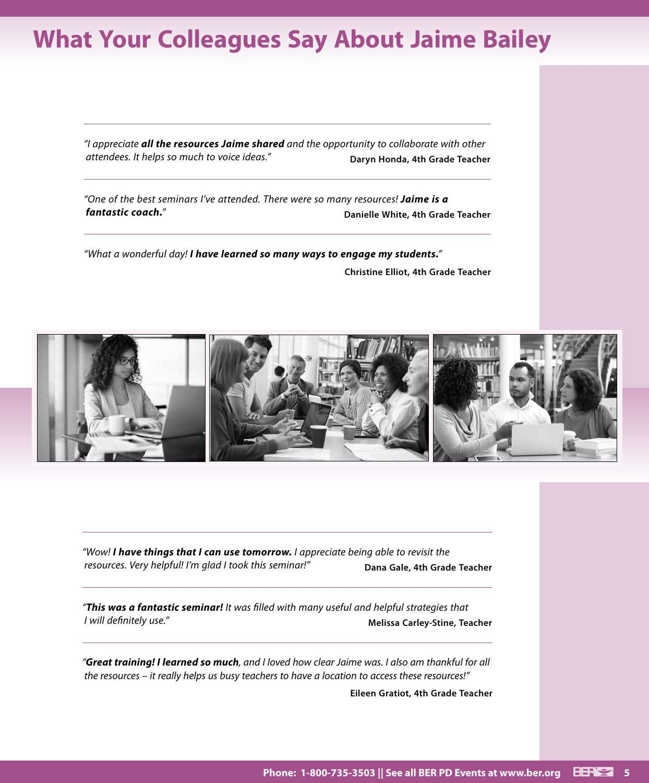## **What Your Colleagues Say About Jaime Bailey**

*"I appreciate all the resources Jaime shared and the opportunity to collaborate with other attendees. It helps so much to voice ideas."* **Daryn Honda, 4th Grade Teacher** 

*"One of the best seminars I've attended. There were so many resources! Jaime is a fantastic coach."* **Danielle White, 4th Grade Teacher**

*"What a wonderful day! I have learned so many ways to engage my students."* **Christine Elliot, 4th Grade Teacher**



*"Wow! I have things that I can use tomorrow. I appreciate being able to revisit the resources. Very helpful! I'm glad I took this seminar!"* Dana Gale, 4th Grade Teacher

*"This was a fantastic seminar! It was filled with many useful and helpful strategies that I* will definitely use."

*"Great training! I learned so much, and I loved how clear Jaime was. I also am thankful for all the resources – it really helps us busy teachers to have a location to access these resources!"*

**Eileen Gratiot, 4th Grade Teacher**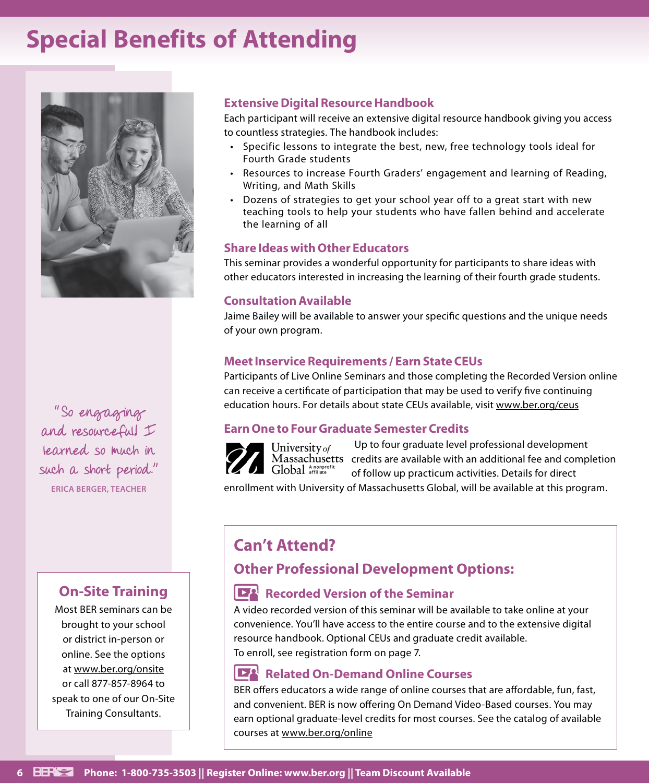## **Special Benefits of Attending**



"So engaging and resourceful! I learned so much in such a short period." **ERICA BERGER, TEACHER**

## **On-Site Training**

Most BER seminars can be brought to your school or district in-person or online. See the options at www.ber.org/onsite or call 877-857-8964 to speak to one of our On-Site Training Consultants.

### **Extensive Digital Resource Handbook**

Each participant will receive an extensive digital resource handbook giving you access to countless strategies. The handbook includes:

- Specific lessons to integrate the best, new, free technology tools ideal for Fourth Grade students
- Resources to increase Fourth Graders' engagement and learning of Reading, Writing, and Math Skills
- Dozens of strategies to get your school year off to a great start with new teaching tools to help your students who have fallen behind and accelerate the learning of all

### **Share Ideas with Other Educators**

This seminar provides a wonderful opportunity for participants to share ideas with other educators interested in increasing the learning of their fourth grade students.

## **Consultation Available**

Jaime Bailey will be available to answer your specific questions and the unique needs of your own program.

## **Meet Inservice Requirements / Earn State CEUs**

Participants of Live Online Seminars and those completing the Recorded Version online can receive a certificate of participation that may be used to verify five continuing education hours. For details about state CEUs available, visit www.ber.org/ceus

## **Earn One to Four Graduate Semester Credits**



Up to four graduate level professional development University of Massachusetts credits are available with an additional fee and completion Global Anonprofi of follow up practicum activities. Details for direct

enrollment with University of Massachusetts Global, will be available at this program.

## **Can't Attend?**

## **Other Professional Development Options:**

## **Recorded Version of the Seminar**

A video recorded version of this seminar will be available to take online at your convenience. You'll have access to the entire course and to the extensive digital resource handbook. Optional CEUs and graduate credit available. To enroll, see registration form on page 7.

## **Related On-Demand Online Courses**

BER offers educators a wide range of online courses that are affordable, fun, fast, and convenient. BER is now offering On Demand Video-Based courses. You may earn optional graduate-level credits for most courses. See the catalog of available courses at www.ber.org/online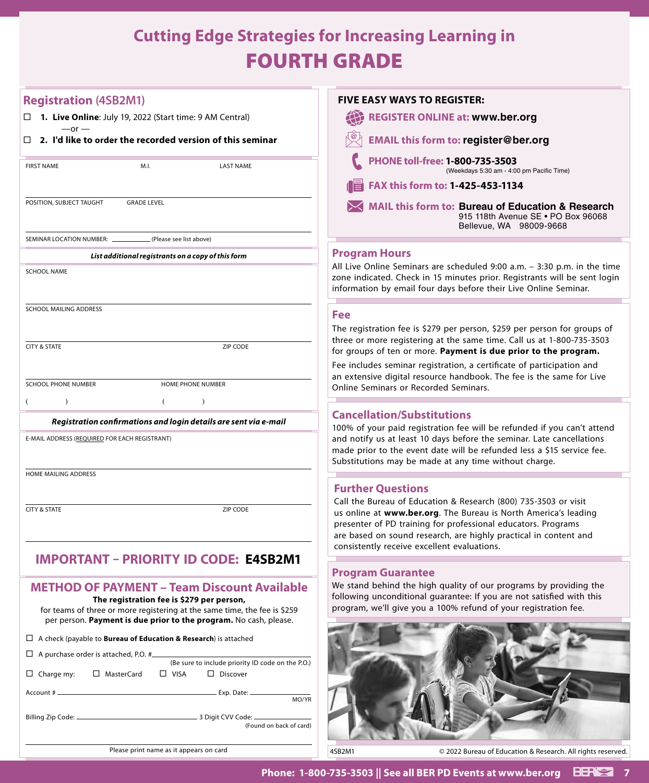## **Cutting Edge Strategies for Increasing Learning in** FOURTH GRADE

| <b>Registration (4SB2M1)</b>                                                                                                                   | <b>FIVE EASY WAYS TO REGISTER:</b>                                                                                                                                                                                                                                                  |
|------------------------------------------------------------------------------------------------------------------------------------------------|-------------------------------------------------------------------------------------------------------------------------------------------------------------------------------------------------------------------------------------------------------------------------------------|
| $\Box$ 1. Live Online: July 19, 2022 (Start time: 9 AM Central)<br>$-$ or $-$                                                                  | <b>REGISTER ONLINE at: www.ber.org</b>                                                                                                                                                                                                                                              |
| $\Box$ 2. I'd like to order the recorded version of this seminar                                                                               | <b>EMAIL this form to: register@ber.org</b>                                                                                                                                                                                                                                         |
| <b>FIRST NAME</b><br>M.I.<br><b>LAST NAME</b>                                                                                                  | PHONE toll-free: 1-800-735-3503<br>(Weekdays 5:30 am - 4:00 pm Pacific Time)                                                                                                                                                                                                        |
|                                                                                                                                                | FAX this form to: 1-425-453-1134                                                                                                                                                                                                                                                    |
| POSITION, SUBJECT TAUGHT<br><b>GRADE LEVEL</b>                                                                                                 | MAIL this form to: Bureau of Education & Research<br>915 118th Avenue SE . PO Box 96068<br>Bellevue, WA 98009-9668                                                                                                                                                                  |
| (Please see list above)<br>SEMINAR LOCATION NUMBER: __                                                                                         |                                                                                                                                                                                                                                                                                     |
| List additional registrants on a copy of this form                                                                                             | <b>Program Hours</b>                                                                                                                                                                                                                                                                |
| <b>SCHOOL NAME</b>                                                                                                                             | All Live Online Seminars are scheduled 9:00 a.m. - 3:30 p.m. in the time<br>zone indicated. Check in 15 minutes prior. Registrants will be sent login<br>information by email four days before their Live Online Seminar.                                                           |
| SCHOOL MAILING ADDRESS                                                                                                                         | Fee                                                                                                                                                                                                                                                                                 |
|                                                                                                                                                | The registration fee is \$279 per person, \$259 per person for groups of                                                                                                                                                                                                            |
| <b>CITY &amp; STATE</b><br>ZIP CODE                                                                                                            | three or more registering at the same time. Call us at 1-800-735-3503                                                                                                                                                                                                               |
|                                                                                                                                                | for groups of ten or more. Payment is due prior to the program.                                                                                                                                                                                                                     |
|                                                                                                                                                | Fee includes seminar registration, a certificate of participation and<br>an extensive digital resource handbook. The fee is the same for Live                                                                                                                                       |
| <b>SCHOOL PHONE NUMBER</b><br>HOME PHONE NUMBER                                                                                                | Online Seminars or Recorded Seminars.                                                                                                                                                                                                                                               |
| $\rightarrow$<br>$\left($                                                                                                                      |                                                                                                                                                                                                                                                                                     |
| Registration confirmations and login details are sent via e-mail                                                                               | <b>Cancellation/Substitutions</b>                                                                                                                                                                                                                                                   |
| E-MAIL ADDRESS (REQUIRED FOR EACH REGISTRANT)                                                                                                  | 100% of your paid registration fee will be refunded if you can't attend<br>and notify us at least 10 days before the seminar. Late cancellations<br>made prior to the event date will be refunded less a \$15 service fee.<br>Substitutions may be made at any time without charge. |
| HOME MAILING ADDRESS                                                                                                                           |                                                                                                                                                                                                                                                                                     |
|                                                                                                                                                | <b>Further Questions</b>                                                                                                                                                                                                                                                            |
| <b>CITY &amp; STATE</b>                                                                                                                        | Call the Bureau of Education & Research (800) 735-3503 or visit                                                                                                                                                                                                                     |
| ZIP CODE                                                                                                                                       | us online at www.ber.org. The Bureau is North America's leading<br>presenter of PD training for professional educators. Programs<br>are based on sound research, are highly practical in content and                                                                                |
|                                                                                                                                                | consistently receive excellent evaluations.                                                                                                                                                                                                                                         |
| <b>IMPORTANT</b><br>- PRIORITY ID CODE: E4SB2M1                                                                                                | <b>Program Guarantee</b>                                                                                                                                                                                                                                                            |
| <b>METHOD OF PAYMENT - Team Discount Available</b>                                                                                             | We stand behind the high quality of our programs by providing the                                                                                                                                                                                                                   |
| The registration fee is \$279 per person,                                                                                                      | following unconditional guarantee: If you are not satisfied with this                                                                                                                                                                                                               |
| for teams of three or more registering at the same time, the fee is \$259<br>per person. Payment is due prior to the program. No cash, please. | program, we'll give you a 100% refund of your registration fee.                                                                                                                                                                                                                     |
|                                                                                                                                                |                                                                                                                                                                                                                                                                                     |
| $\Box$ A check (payable to <b>Bureau of Education &amp; Research</b> ) is attached                                                             |                                                                                                                                                                                                                                                                                     |
| □ A purchase order is attached, P.O. #<br>(Be sure to include priority ID code on the P.O.)                                                    |                                                                                                                                                                                                                                                                                     |
| □ MasterCard<br>$\Box$ Charge my:<br>$\Box$ VISA<br>$\Box$ Discover                                                                            |                                                                                                                                                                                                                                                                                     |
| MO/YR                                                                                                                                          |                                                                                                                                                                                                                                                                                     |
|                                                                                                                                                |                                                                                                                                                                                                                                                                                     |
| (Found on back of card)                                                                                                                        |                                                                                                                                                                                                                                                                                     |
|                                                                                                                                                |                                                                                                                                                                                                                                                                                     |
| Please print name as it appears on card                                                                                                        | 4SB2M1<br>© 2022 Bureau of Education & Research. All rights reserved.                                                                                                                                                                                                               |